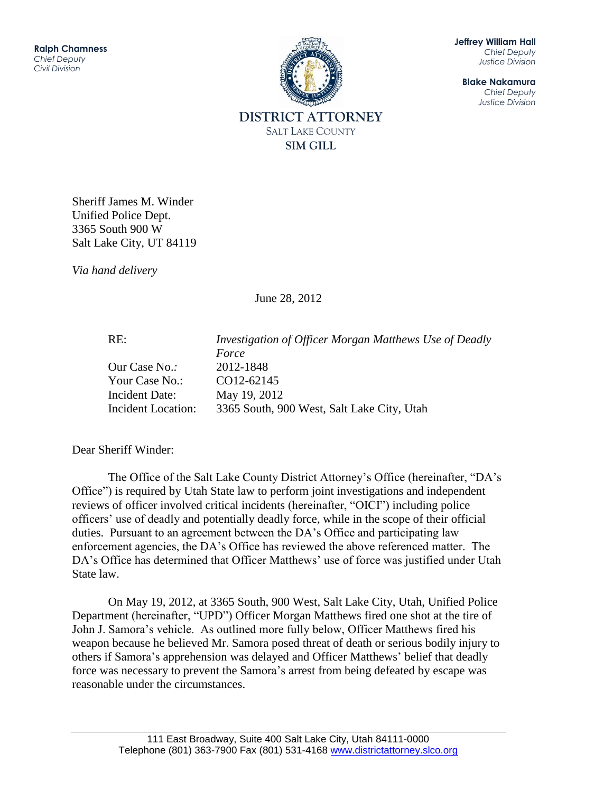

**Jeffrey William Hall** *Chief Deputy Justice Division*

**Blake Nakamura** *Chief Deputy Justice Division*

Sheriff James M. Winder Unified Police Dept. 3365 South 900 W Salt Lake City, UT 84119

*Via hand delivery*

June 28, 2012

RE: *Investigation of Officer Morgan Matthews Use of Deadly Force* Our Case No.*:* 2012-1848 Your Case No.: CO12-62145 Incident Date: May 19, 2012 Incident Location: 3365 South, 900 West, Salt Lake City, Utah

Dear Sheriff Winder:

The Office of the Salt Lake County District Attorney's Office (hereinafter, "DA's Office") is required by Utah State law to perform joint investigations and independent reviews of officer involved critical incidents (hereinafter, "OICI") including police officers' use of deadly and potentially deadly force, while in the scope of their official duties. Pursuant to an agreement between the DA's Office and participating law enforcement agencies, the DA's Office has reviewed the above referenced matter. The DA's Office has determined that Officer Matthews' use of force was justified under Utah State law.

On May 19, 2012, at 3365 South, 900 West, Salt Lake City, Utah, Unified Police Department (hereinafter, "UPD") Officer Morgan Matthews fired one shot at the tire of John J. Samora's vehicle. As outlined more fully below, Officer Matthews fired his weapon because he believed Mr. Samora posed threat of death or serious bodily injury to others if Samora's apprehension was delayed and Officer Matthews' belief that deadly force was necessary to prevent the Samora's arrest from being defeated by escape was reasonable under the circumstances.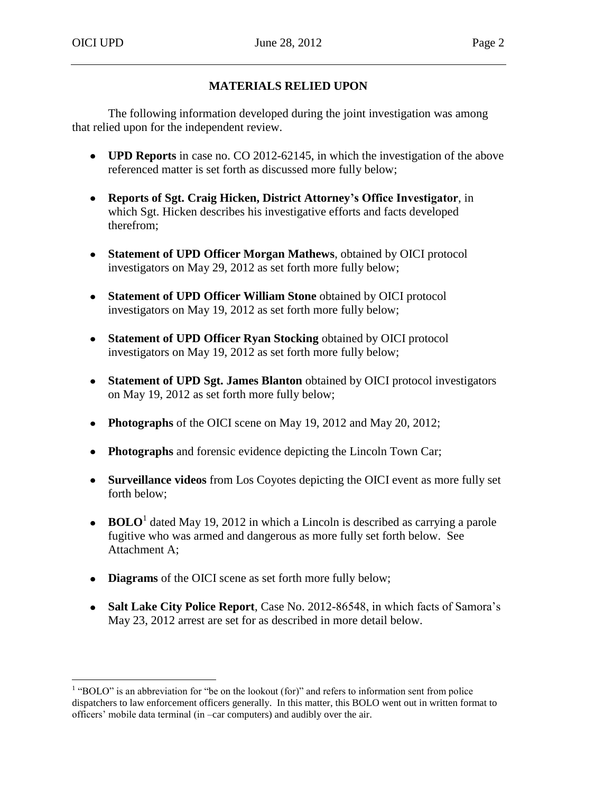# **MATERIALS RELIED UPON**

The following information developed during the joint investigation was among that relied upon for the independent review.

- **UPD Reports** in case no. CO 2012-62145, in which the investigation of the above referenced matter is set forth as discussed more fully below;
- **Reports of Sgt. Craig Hicken, District Attorney's Office Investigator**, in which Sgt. Hicken describes his investigative efforts and facts developed therefrom;
- **Statement of UPD Officer Morgan Mathews**, obtained by OICI protocol investigators on May 29, 2012 as set forth more fully below;
- **Statement of UPD Officer William Stone** obtained by OICI protocol investigators on May 19, 2012 as set forth more fully below;
- **Statement of UPD Officer Ryan Stocking** obtained by OICI protocol investigators on May 19, 2012 as set forth more fully below;
- **Statement of UPD Sgt. James Blanton** obtained by OICI protocol investigators on May 19, 2012 as set forth more fully below;
- **Photographs** of the OICI scene on May 19, 2012 and May 20, 2012;
- **Photographs** and forensic evidence depicting the Lincoln Town Car;
- **Surveillance videos** from Los Coyotes depicting the OICI event as more fully set forth below;
- **BOLO**<sup>1</sup> dated May 19, 2012 in which a Lincoln is described as carrying a parole fugitive who was armed and dangerous as more fully set forth below. See Attachment A;
- **Diagrams** of the OICI scene as set forth more fully below;
- **Salt Lake City Police Report**, Case No. 2012-86548, in which facts of Samora's May 23, 2012 arrest are set for as described in more detail below.

 $<sup>1</sup>$  "BOLO" is an abbreviation for "be on the lookout (for)" and refers to information sent from police</sup> dispatchers to law enforcement officers generally. In this matter, this BOLO went out in written format to officers' mobile data terminal (in –car computers) and audibly over the air.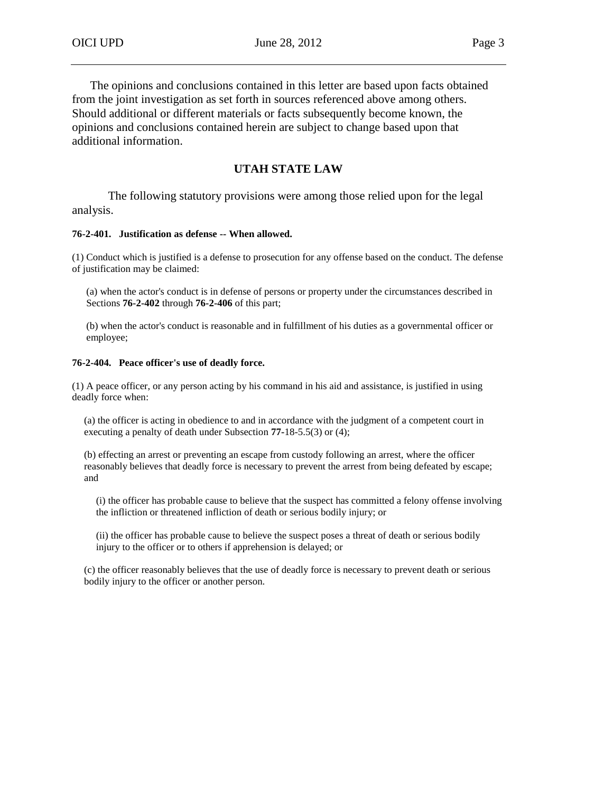The opinions and conclusions contained in this letter are based upon facts obtained from the joint investigation as set forth in sources referenced above among others.

Should additional or different materials or facts subsequently become known, the opinions and conclusions contained herein are subject to change based upon that additional information.

# **UTAH STATE LAW**

The following statutory provisions were among those relied upon for the legal analysis.

#### **76-2-401. Justification as defense -- When allowed.**

(1) Conduct which is justified is a defense to prosecution for any offense based on the conduct. The defense of justification may be claimed:

(a) when the actor's conduct is in defense of persons or property under the circumstances described in Sections **76-2-402** through **76-2-406** of this part;

(b) when the actor's conduct is reasonable and in fulfillment of his duties as a governmental officer or employee;

#### **76-2-404. Peace officer's use of deadly force.**

(1) A peace officer, or any person acting by his command in his aid and assistance, is justified in using deadly force when:

(a) the officer is acting in obedience to and in accordance with the judgment of a competent court in executing a penalty of death under Subsection **77-**18-5.5(3) or (4);

(b) effecting an arrest or preventing an escape from custody following an arrest, where the officer reasonably believes that deadly force is necessary to prevent the arrest from being defeated by escape; and

(i) the officer has probable cause to believe that the suspect has committed a felony offense involving the infliction or threatened infliction of death or serious bodily injury; or

(ii) the officer has probable cause to believe the suspect poses a threat of death or serious bodily injury to the officer or to others if apprehension is delayed; or

(c) the officer reasonably believes that the use of deadly force is necessary to prevent death or serious bodily injury to the officer or another person.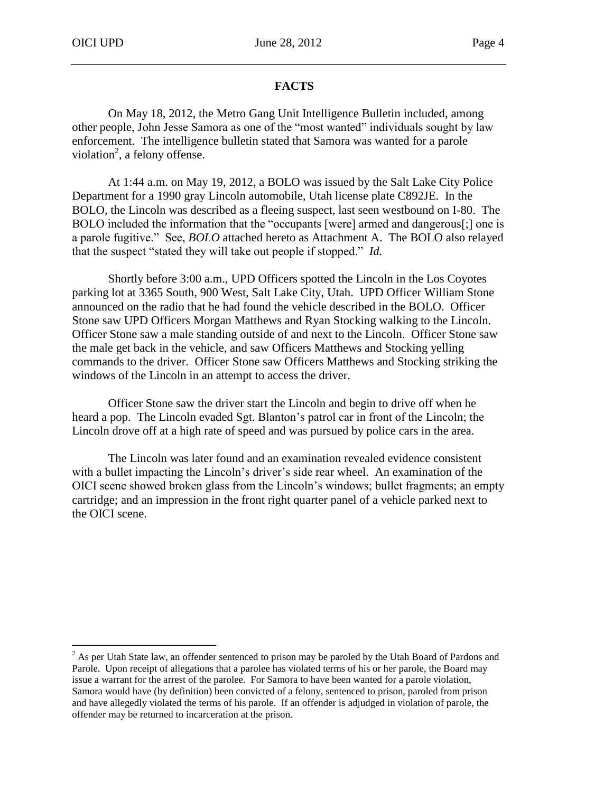# **FACTS**

On May 18, 2012, the Metro Gang Unit Intelligence Bulletin included, among other people, John Jesse Samora as one of the "most wanted" individuals sought by law enforcement. The intelligence bulletin stated that Samora was wanted for a parole violation<sup>2</sup>, a felony offense.

At 1:44 a.m. on May 19, 2012, a BOLO was issued by the Salt Lake City Police Department for a 1990 gray Lincoln automobile, Utah license plate C892JE. In the BOLO, the Lincoln was described as a fleeing suspect, last seen westbound on I-80. The BOLO included the information that the "occupants [were] armed and dangerous[;] one is a parole fugitive." See, *BOLO* attached hereto as Attachment A. The BOLO also relayed that the suspect "stated they will take out people if stopped." *Id.*

Shortly before 3:00 a.m., UPD Officers spotted the Lincoln in the Los Coyotes parking lot at 3365 South, 900 West, Salt Lake City, Utah. UPD Officer William Stone announced on the radio that he had found the vehicle described in the BOLO. Officer Stone saw UPD Officers Morgan Matthews and Ryan Stocking walking to the Lincoln. Officer Stone saw a male standing outside of and next to the Lincoln. Officer Stone saw the male get back in the vehicle, and saw Officers Matthews and Stocking yelling commands to the driver. Officer Stone saw Officers Matthews and Stocking striking the windows of the Lincoln in an attempt to access the driver.

Officer Stone saw the driver start the Lincoln and begin to drive off when he heard a pop. The Lincoln evaded Sgt. Blanton's patrol car in front of the Lincoln; the Lincoln drove off at a high rate of speed and was pursued by police cars in the area.

The Lincoln was later found and an examination revealed evidence consistent with a bullet impacting the Lincoln's driver's side rear wheel. An examination of the OICI scene showed broken glass from the Lincoln's windows; bullet fragments; an empty cartridge; and an impression in the front right quarter panel of a vehicle parked next to the OICI scene.

 $^{2}$  As per Utah State law, an offender sentenced to prison may be paroled by the Utah Board of Pardons and Parole. Upon receipt of allegations that a parolee has violated terms of his or her parole, the Board may issue a warrant for the arrest of the parolee. For Samora to have been wanted for a parole violation, Samora would have (by definition) been convicted of a felony, sentenced to prison, paroled from prison and have allegedly violated the terms of his parole. If an offender is adjudged in violation of parole, the offender may be returned to incarceration at the prison.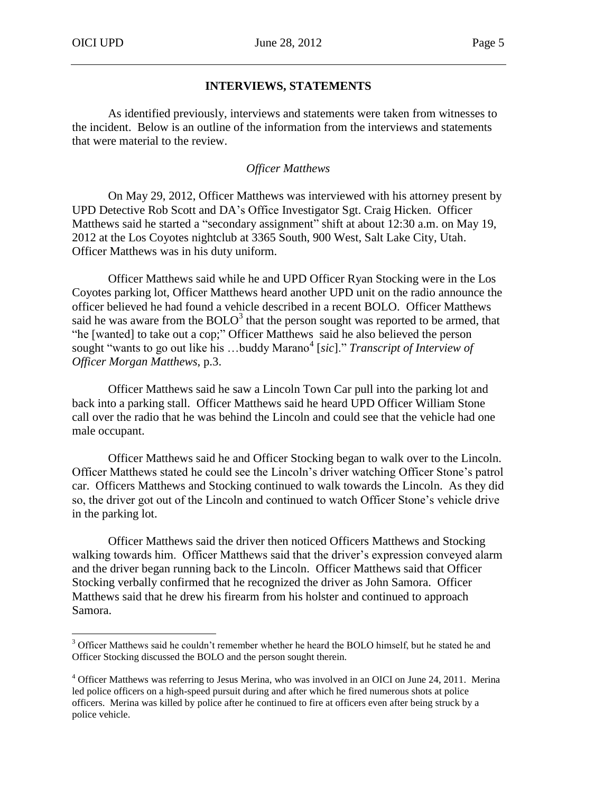### **INTERVIEWS, STATEMENTS**

As identified previously, interviews and statements were taken from witnesses to the incident. Below is an outline of the information from the interviews and statements that were material to the review.

### *Officer Matthews*

On May 29, 2012, Officer Matthews was interviewed with his attorney present by UPD Detective Rob Scott and DA's Office Investigator Sgt. Craig Hicken. Officer Matthews said he started a "secondary assignment" shift at about 12:30 a.m. on May 19, 2012 at the Los Coyotes nightclub at 3365 South, 900 West, Salt Lake City, Utah. Officer Matthews was in his duty uniform.

Officer Matthews said while he and UPD Officer Ryan Stocking were in the Los Coyotes parking lot, Officer Matthews heard another UPD unit on the radio announce the officer believed he had found a vehicle described in a recent BOLO. Officer Matthews said he was aware from the BOLO<sup>3</sup> that the person sought was reported to be armed, that "he [wanted] to take out a cop;" Officer Matthews said he also believed the person sought "wants to go out like his ...buddy Marano<sup>4</sup> [sic]." *Transcript of Interview of Officer Morgan Matthews*, p.3.

Officer Matthews said he saw a Lincoln Town Car pull into the parking lot and back into a parking stall. Officer Matthews said he heard UPD Officer William Stone call over the radio that he was behind the Lincoln and could see that the vehicle had one male occupant.

Officer Matthews said he and Officer Stocking began to walk over to the Lincoln. Officer Matthews stated he could see the Lincoln's driver watching Officer Stone's patrol car. Officers Matthews and Stocking continued to walk towards the Lincoln. As they did so, the driver got out of the Lincoln and continued to watch Officer Stone's vehicle drive in the parking lot.

Officer Matthews said the driver then noticed Officers Matthews and Stocking walking towards him. Officer Matthews said that the driver's expression conveyed alarm and the driver began running back to the Lincoln. Officer Matthews said that Officer Stocking verbally confirmed that he recognized the driver as John Samora. Officer Matthews said that he drew his firearm from his holster and continued to approach Samora.

<sup>&</sup>lt;sup>3</sup> Officer Matthews said he couldn't remember whether he heard the BOLO himself, but he stated he and Officer Stocking discussed the BOLO and the person sought therein.

<sup>4</sup> Officer Matthews was referring to Jesus Merina, who was involved in an OICI on June 24, 2011. Merina led police officers on a high-speed pursuit during and after which he fired numerous shots at police officers. Merina was killed by police after he continued to fire at officers even after being struck by a police vehicle.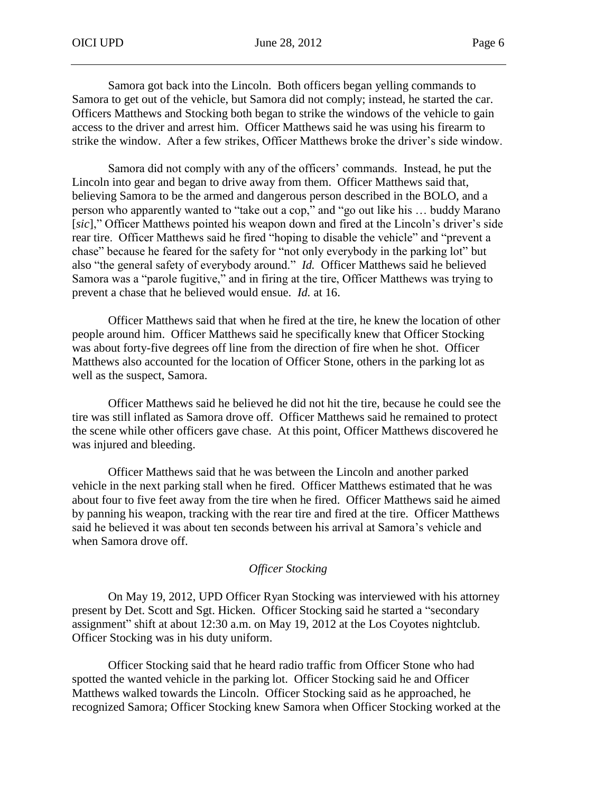Samora got back into the Lincoln. Both officers began yelling commands to Samora to get out of the vehicle, but Samora did not comply; instead, he started the car. Officers Matthews and Stocking both began to strike the windows of the vehicle to gain access to the driver and arrest him. Officer Matthews said he was using his firearm to strike the window. After a few strikes, Officer Matthews broke the driver's side window.

Samora did not comply with any of the officers' commands. Instead, he put the Lincoln into gear and began to drive away from them. Officer Matthews said that, believing Samora to be the armed and dangerous person described in the BOLO, and a person who apparently wanted to "take out a cop," and "go out like his … buddy Marano [*sic*]," Officer Matthews pointed his weapon down and fired at the Lincoln's driver's side rear tire. Officer Matthews said he fired "hoping to disable the vehicle" and "prevent a chase" because he feared for the safety for "not only everybody in the parking lot" but also "the general safety of everybody around." *Id.* Officer Matthews said he believed Samora was a "parole fugitive," and in firing at the tire, Officer Matthews was trying to prevent a chase that he believed would ensue. *Id.* at 16.

Officer Matthews said that when he fired at the tire, he knew the location of other people around him. Officer Matthews said he specifically knew that Officer Stocking was about forty-five degrees off line from the direction of fire when he shot. Officer Matthews also accounted for the location of Officer Stone, others in the parking lot as well as the suspect, Samora.

Officer Matthews said he believed he did not hit the tire, because he could see the tire was still inflated as Samora drove off. Officer Matthews said he remained to protect the scene while other officers gave chase. At this point, Officer Matthews discovered he was injured and bleeding.

Officer Matthews said that he was between the Lincoln and another parked vehicle in the next parking stall when he fired. Officer Matthews estimated that he was about four to five feet away from the tire when he fired. Officer Matthews said he aimed by panning his weapon, tracking with the rear tire and fired at the tire. Officer Matthews said he believed it was about ten seconds between his arrival at Samora's vehicle and when Samora drove off.

### *Officer Stocking*

On May 19, 2012, UPD Officer Ryan Stocking was interviewed with his attorney present by Det. Scott and Sgt. Hicken. Officer Stocking said he started a "secondary assignment" shift at about 12:30 a.m. on May 19, 2012 at the Los Coyotes nightclub. Officer Stocking was in his duty uniform.

Officer Stocking said that he heard radio traffic from Officer Stone who had spotted the wanted vehicle in the parking lot. Officer Stocking said he and Officer Matthews walked towards the Lincoln. Officer Stocking said as he approached, he recognized Samora; Officer Stocking knew Samora when Officer Stocking worked at the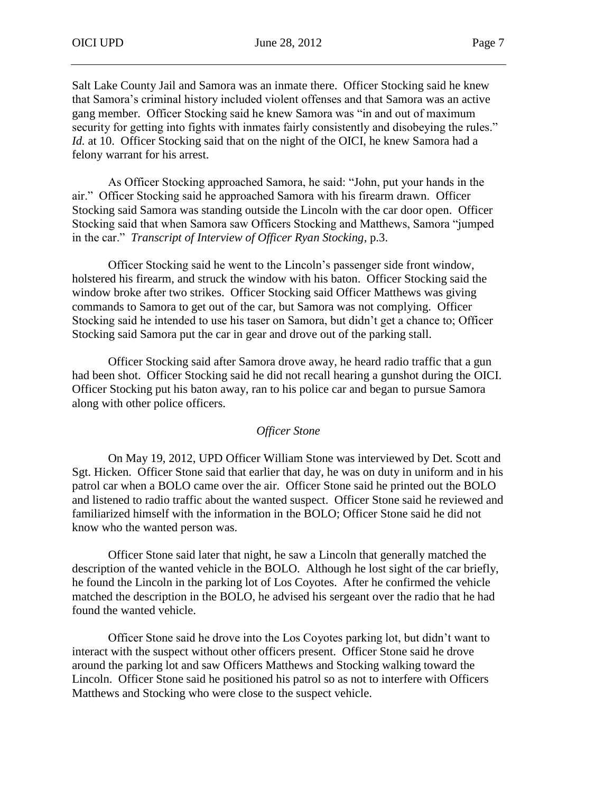Salt Lake County Jail and Samora was an inmate there. Officer Stocking said he knew that Samora's criminal history included violent offenses and that Samora was an active gang member. Officer Stocking said he knew Samora was "in and out of maximum security for getting into fights with inmates fairly consistently and disobeying the rules." *Id.* at 10. Officer Stocking said that on the night of the OICI, he knew Samora had a felony warrant for his arrest.

As Officer Stocking approached Samora, he said: "John, put your hands in the air." Officer Stocking said he approached Samora with his firearm drawn. Officer Stocking said Samora was standing outside the Lincoln with the car door open. Officer Stocking said that when Samora saw Officers Stocking and Matthews, Samora "jumped in the car." *Transcript of Interview of Officer Ryan Stocking*, p.3.

Officer Stocking said he went to the Lincoln's passenger side front window, holstered his firearm, and struck the window with his baton. Officer Stocking said the window broke after two strikes. Officer Stocking said Officer Matthews was giving commands to Samora to get out of the car, but Samora was not complying. Officer Stocking said he intended to use his taser on Samora, but didn't get a chance to; Officer Stocking said Samora put the car in gear and drove out of the parking stall.

Officer Stocking said after Samora drove away, he heard radio traffic that a gun had been shot. Officer Stocking said he did not recall hearing a gunshot during the OICI. Officer Stocking put his baton away, ran to his police car and began to pursue Samora along with other police officers.

### *Officer Stone*

On May 19, 2012, UPD Officer William Stone was interviewed by Det. Scott and Sgt. Hicken. Officer Stone said that earlier that day, he was on duty in uniform and in his patrol car when a BOLO came over the air. Officer Stone said he printed out the BOLO and listened to radio traffic about the wanted suspect. Officer Stone said he reviewed and familiarized himself with the information in the BOLO; Officer Stone said he did not know who the wanted person was.

Officer Stone said later that night, he saw a Lincoln that generally matched the description of the wanted vehicle in the BOLO. Although he lost sight of the car briefly, he found the Lincoln in the parking lot of Los Coyotes. After he confirmed the vehicle matched the description in the BOLO, he advised his sergeant over the radio that he had found the wanted vehicle.

Officer Stone said he drove into the Los Coyotes parking lot, but didn't want to interact with the suspect without other officers present. Officer Stone said he drove around the parking lot and saw Officers Matthews and Stocking walking toward the Lincoln. Officer Stone said he positioned his patrol so as not to interfere with Officers Matthews and Stocking who were close to the suspect vehicle.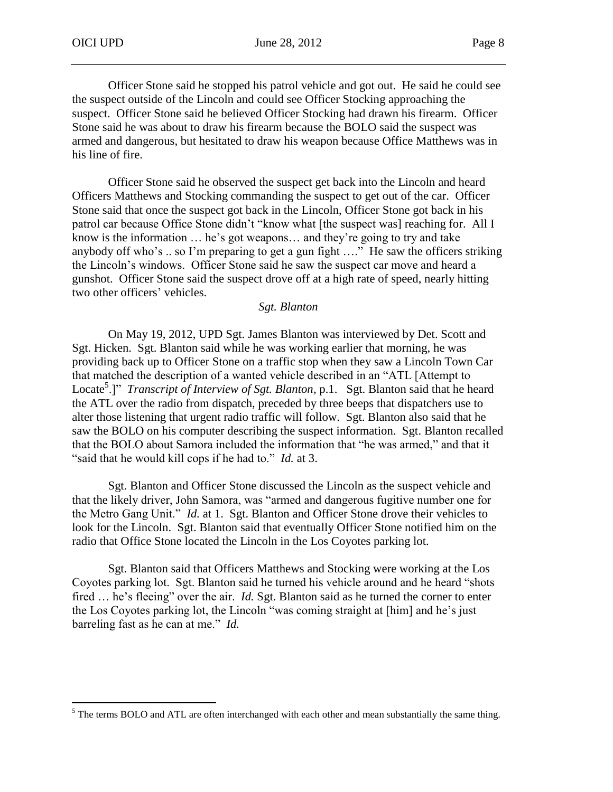Officer Stone said he stopped his patrol vehicle and got out. He said he could see the suspect outside of the Lincoln and could see Officer Stocking approaching the suspect. Officer Stone said he believed Officer Stocking had drawn his firearm. Officer Stone said he was about to draw his firearm because the BOLO said the suspect was armed and dangerous, but hesitated to draw his weapon because Office Matthews was in his line of fire.

Officer Stone said he observed the suspect get back into the Lincoln and heard Officers Matthews and Stocking commanding the suspect to get out of the car. Officer Stone said that once the suspect got back in the Lincoln, Officer Stone got back in his patrol car because Office Stone didn't "know what [the suspect was] reaching for. All I know is the information … he's got weapons… and they're going to try and take anybody off who's .. so I'm preparing to get a gun fight …." He saw the officers striking the Lincoln's windows. Officer Stone said he saw the suspect car move and heard a gunshot. Officer Stone said the suspect drove off at a high rate of speed, nearly hitting two other officers' vehicles.

#### *Sgt. Blanton*

On May 19, 2012, UPD Sgt. James Blanton was interviewed by Det. Scott and Sgt. Hicken. Sgt. Blanton said while he was working earlier that morning, he was providing back up to Officer Stone on a traffic stop when they saw a Lincoln Town Car that matched the description of a wanted vehicle described in an "ATL [Attempt to Locate<sup>5</sup>.]" *Transcript of Interview of Sgt. Blanton*, p.1. Sgt. Blanton said that he heard the ATL over the radio from dispatch, preceded by three beeps that dispatchers use to alter those listening that urgent radio traffic will follow. Sgt. Blanton also said that he saw the BOLO on his computer describing the suspect information. Sgt. Blanton recalled that the BOLO about Samora included the information that "he was armed," and that it "said that he would kill cops if he had to." *Id.* at 3.

Sgt. Blanton and Officer Stone discussed the Lincoln as the suspect vehicle and that the likely driver, John Samora, was "armed and dangerous fugitive number one for the Metro Gang Unit." *Id.* at 1. Sgt. Blanton and Officer Stone drove their vehicles to look for the Lincoln. Sgt. Blanton said that eventually Officer Stone notified him on the radio that Office Stone located the Lincoln in the Los Coyotes parking lot.

Sgt. Blanton said that Officers Matthews and Stocking were working at the Los Coyotes parking lot. Sgt. Blanton said he turned his vehicle around and he heard "shots fired ... he's fleeing" over the air. *Id.* Sgt. Blanton said as he turned the corner to enter the Los Coyotes parking lot, the Lincoln "was coming straight at [him] and he's just barreling fast as he can at me." *Id.*

<sup>&</sup>lt;sup>5</sup> The terms BOLO and ATL are often interchanged with each other and mean substantially the same thing.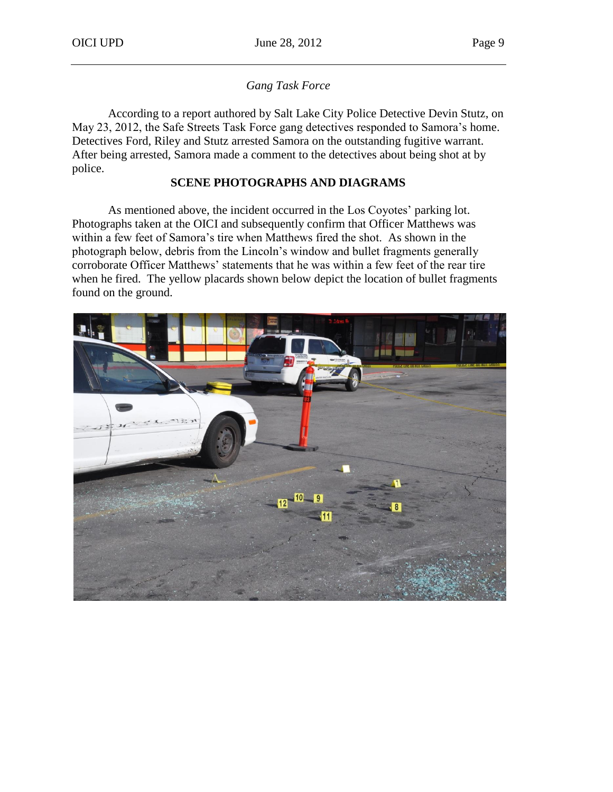### *Gang Task Force*

According to a report authored by Salt Lake City Police Detective Devin Stutz, on May 23, 2012, the Safe Streets Task Force gang detectives responded to Samora's home. Detectives Ford, Riley and Stutz arrested Samora on the outstanding fugitive warrant. After being arrested, Samora made a comment to the detectives about being shot at by police.

### **SCENE PHOTOGRAPHS AND DIAGRAMS**

As mentioned above, the incident occurred in the Los Coyotes' parking lot. Photographs taken at the OICI and subsequently confirm that Officer Matthews was within a few feet of Samora's tire when Matthews fired the shot. As shown in the photograph below, debris from the Lincoln's window and bullet fragments generally corroborate Officer Matthews' statements that he was within a few feet of the rear tire when he fired. The yellow placards shown below depict the location of bullet fragments found on the ground.

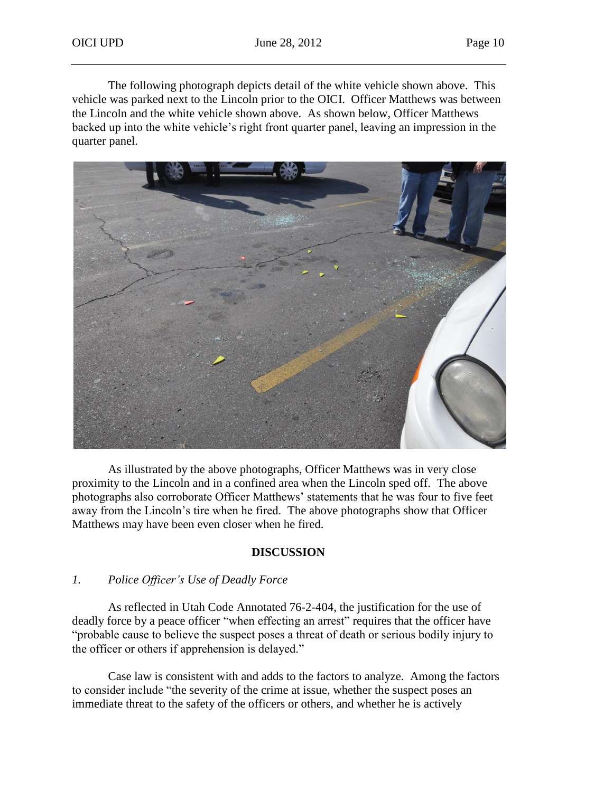The following photograph depicts detail of the white vehicle shown above. This vehicle was parked next to the Lincoln prior to the OICI. Officer Matthews was between the Lincoln and the white vehicle shown above. As shown below, Officer Matthews backed up into the white vehicle's right front quarter panel, leaving an impression in the quarter panel.



As illustrated by the above photographs, Officer Matthews was in very close proximity to the Lincoln and in a confined area when the Lincoln sped off. The above photographs also corroborate Officer Matthews' statements that he was four to five feet away from the Lincoln's tire when he fired. The above photographs show that Officer Matthews may have been even closer when he fired.

### **DISCUSSION**

### *1. Police Officer's Use of Deadly Force*

As reflected in Utah Code Annotated 76-2-404, the justification for the use of deadly force by a peace officer "when effecting an arrest" requires that the officer have "probable cause to believe the suspect poses a threat of death or serious bodily injury to the officer or others if apprehension is delayed."

Case law is consistent with and adds to the factors to analyze. Among the factors to consider include "the severity of the crime at issue, whether the suspect poses an immediate threat to the safety of the officers or others, and whether he is actively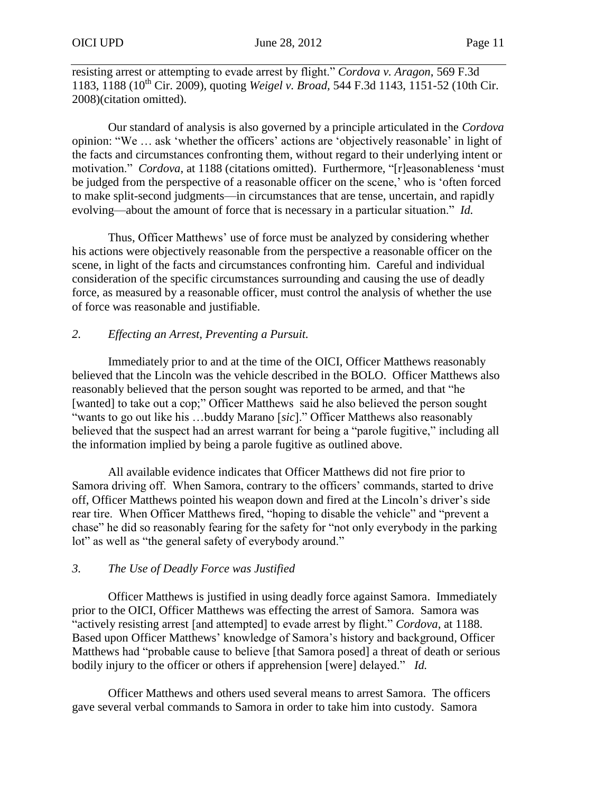resisting arrest or attempting to evade arrest by flight." *Cordova v. Aragon*, 569 F.3d 1183, 1188 (10th Cir. 2009), quoting *Weigel v. Broad,* 544 F.3d 1143, 1151-52 (10th Cir. 2008)(citation omitted).

Our standard of analysis is also governed by a principle articulated in the *Cordova* opinion: "We … ask 'whether the officers' actions are 'objectively reasonable' in light of the facts and circumstances confronting them, without regard to their underlying intent or motivation." *Cordova*, at 1188 (citations omitted). Furthermore, "[r]easonableness 'must be judged from the perspective of a reasonable officer on the scene,' who is 'often forced to make split-second judgments—in circumstances that are tense, uncertain, and rapidly evolving—about the amount of force that is necessary in a particular situation." *Id.* 

Thus, Officer Matthews' use of force must be analyzed by considering whether his actions were objectively reasonable from the perspective a reasonable officer on the scene, in light of the facts and circumstances confronting him. Careful and individual consideration of the specific circumstances surrounding and causing the use of deadly force, as measured by a reasonable officer, must control the analysis of whether the use of force was reasonable and justifiable.

# *2. Effecting an Arrest, Preventing a Pursuit.*

Immediately prior to and at the time of the OICI, Officer Matthews reasonably believed that the Lincoln was the vehicle described in the BOLO. Officer Matthews also reasonably believed that the person sought was reported to be armed, and that "he [wanted] to take out a cop;" Officer Matthews said he also believed the person sought "wants to go out like his …buddy Marano [*sic*]." Officer Matthews also reasonably believed that the suspect had an arrest warrant for being a "parole fugitive," including all the information implied by being a parole fugitive as outlined above.

All available evidence indicates that Officer Matthews did not fire prior to Samora driving off. When Samora, contrary to the officers' commands, started to drive off, Officer Matthews pointed his weapon down and fired at the Lincoln's driver's side rear tire. When Officer Matthews fired, "hoping to disable the vehicle" and "prevent a chase" he did so reasonably fearing for the safety for "not only everybody in the parking lot" as well as "the general safety of everybody around."

### *3. The Use of Deadly Force was Justified*

Officer Matthews is justified in using deadly force against Samora. Immediately prior to the OICI, Officer Matthews was effecting the arrest of Samora. Samora was "actively resisting arrest [and attempted] to evade arrest by flight." *Cordova*, at 1188. Based upon Officer Matthews' knowledge of Samora's history and background, Officer Matthews had "probable cause to believe [that Samora posed] a threat of death or serious bodily injury to the officer or others if apprehension [were] delayed." *Id.*

Officer Matthews and others used several means to arrest Samora. The officers gave several verbal commands to Samora in order to take him into custody. Samora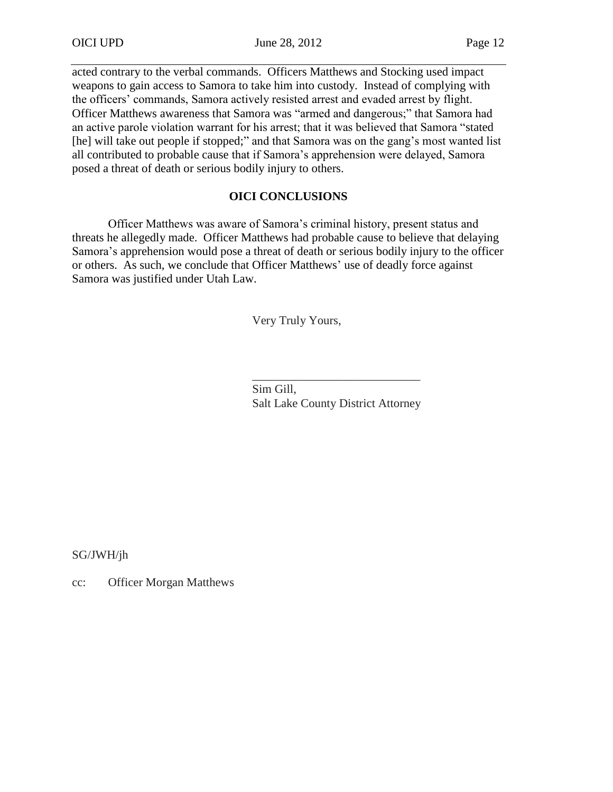acted contrary to the verbal commands. Officers Matthews and Stocking used impact weapons to gain access to Samora to take him into custody. Instead of complying with the officers' commands, Samora actively resisted arrest and evaded arrest by flight. Officer Matthews awareness that Samora was "armed and dangerous;" that Samora had an active parole violation warrant for his arrest; that it was believed that Samora "stated [he] will take out people if stopped;" and that Samora was on the gang's most wanted list all contributed to probable cause that if Samora's apprehension were delayed, Samora posed a threat of death or serious bodily injury to others.

# **OICI CONCLUSIONS**

Officer Matthews was aware of Samora's criminal history, present status and threats he allegedly made. Officer Matthews had probable cause to believe that delaying Samora's apprehension would pose a threat of death or serious bodily injury to the officer or others. As such, we conclude that Officer Matthews' use of deadly force against Samora was justified under Utah Law.

Very Truly Yours,

\_\_\_\_\_\_\_\_\_\_\_\_\_\_\_\_\_\_\_\_\_\_\_\_\_\_\_\_ Sim Gill, Salt Lake County District Attorney

SG/JWH/jh

cc: Officer Morgan Matthews